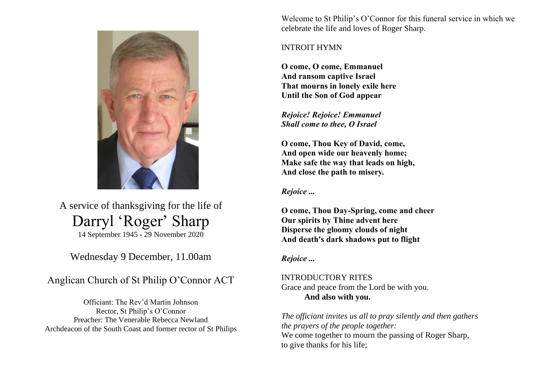

A service of thanksgiving for the life of Darryl 'Roger' Sharp 14 September 1945 - 29 November 2020

# Wednesday 9 December, 11.00am

# Anglican Church of St Philip O'Connor ACT

Officiant: The Rev'd Martin Johnson Rector, St Philip's O'Connor Preacher: The Venerable Rebecca Newland Archdeacon of the South Coast and former rector of St Philips

Welcome to St Philip's O'Connor for this funeral service in which we celebrate the life and loves of Roger Sharp.

# INTROIT HYMN

**O come, O come, Emmanuel And ransom captive Israel That mourns in lonely exile here Until the Son of God appear**

*Rejoice! Rejoice! Emmanuel Shall come to thee, O Israel*

**O come, Thou Key of David, come, And open wide our heavenly home; Make safe the way that leads on high, And close the path to misery.**

*Rejoice ...*

**O come, Thou Day-Spring, come and cheer Our spirits by Thine advent here Disperse the gloomy clouds of night And death's dark shadows put to flight**

# *Rejoice ...*

INTRODUCTORY RITES Grace and peace from the Lord be with you. **And also with you.**

*The officiant invites us all to pray silently and then gathers the prayers of the people together:* We come together to mourn the passing of Roger Sharp, to give thanks for his life;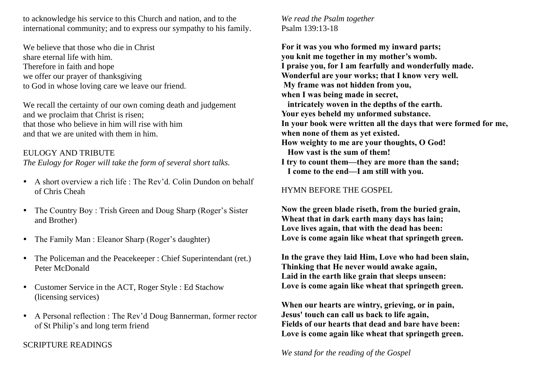to acknowledge his service to this Church and nation, and to the international community; and to express our sympathy to his family.

We believe that those who die in Christ share eternal life with him. Therefore in faith and hope we offer our prayer of thanksgiving to God in whose loving care we leave our friend.

We recall the certainty of our own coming death and judgement and we proclaim that Christ is risen; that those who believe in him will rise with him and that we are united with them in him.

#### EULOGY AND TRIBUTE

*The Eulogy for Roger will take the form of several short talks.*

- A short overview a rich life : The Rev'd. Colin Dundon on behalf of Chris Cheah
- The Country Boy : Trish Green and Doug Sharp (Roger's Sister and Brother)
- The Family Man : Eleanor Sharp (Roger's daughter)
- The Policeman and the Peacekeeper : Chief Superintendant (ret.) Peter McDonald
- Customer Service in the ACT, Roger Style : Ed Stachow (licensing services)
- A Personal reflection : The Rev'd Doug Bannerman, former rector of St Philip's and long term friend

SCRIPTURE READINGS

*We read the Psalm together* Psalm 139:13-18

**For it was you who formed my inward parts; you knit me together in my mother's womb. I praise you, for I am fearfully and wonderfully made. Wonderful are your works; that I know very well. My frame was not hidden from you, when I was being made in secret, intricately woven in the depths of the earth. Your eyes beheld my unformed substance. In your book were written all the days that were formed for me, when none of them as yet existed. How weighty to me are your thoughts, O God! How vast is the sum of them! I try to count them—they are more than the sand; I come to the end—I am still with you.**

#### HYMN BEFORE THE GOSPEL

**Now the green blade riseth, from the buried grain, Wheat that in dark earth many days has lain; Love lives again, that with the dead has been: Love is come again like wheat that springeth green.**

**In the grave they laid Him, Love who had been slain, Thinking that He never would awake again, Laid in the earth like grain that sleeps unseen: Love is come again like wheat that springeth green.**

**When our hearts are wintry, grieving, or in pain, Jesus' touch can call us back to life again, Fields of our hearts that dead and bare have been: Love is come again like wheat that springeth green.**

*We stand for the reading of the Gospel*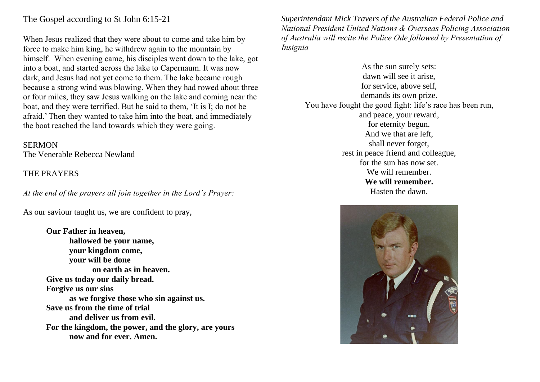# The Gospel according to St John 6:15-21

When Jesus realized that they were about to come and take him by force to make him king, he withdrew again to the mountain by himself. When evening came, his disciples went down to the lake, got into a boat, and started across the lake to Capernaum. It was now dark, and Jesus had not yet come to them. The lake became rough because a strong wind was blowing. When they had rowed about three or four miles, they saw Jesus walking on the lake and coming near the boat, and they were terrified. But he said to them, 'It is I; do not be afraid.' Then they wanted to take him into the boat, and immediately the boat reached the land towards which they were going.

#### **SERMON**

The Venerable Rebecca Newland

# THE PRAYERS

*At the end of the prayers all join together in the Lord's Prayer:*

As our saviour taught us, we are confident to pray,

**Our Father in heaven, hallowed be your name, your kingdom come, your will be done on earth as in heaven. Give us today our daily bread. Forgive us our sins as we forgive those who sin against us. Save us from the time of trial and deliver us from evil. For the kingdom, the power, and the glory, are yours now and for ever. Amen.**

*Superintendant Mick Travers of the Australian Federal Police and National President United Nations & Overseas Policing Association of Australia will recite the Police Ode followed by Presentation of Insignia*

As the sun surely sets: dawn will see it arise, for service, above self, demands its own prize. You have fought the good fight: life's race has been run, and peace, your reward, for eternity begun. And we that are left, shall never forget, rest in peace friend and colleague, for the sun has now set. We will remember. **We will remember.** Hasten the dawn.

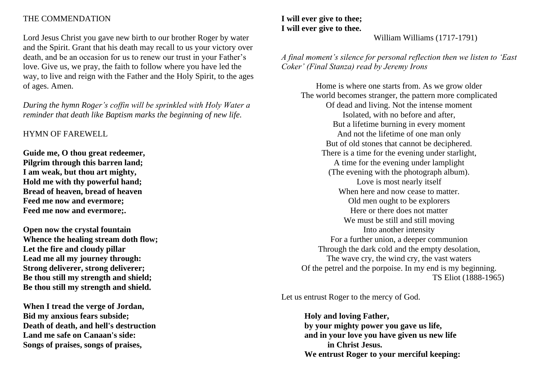### THE COMMENDATION

Lord Jesus Christ you gave new birth to our brother Roger by water and the Spirit. Grant that his death may recall to us your victory over death, and be an occasion for us to renew our trust in your Father's love. Give us, we pray, the faith to follow where you have led the way, to live and reign with the Father and the Holy Spirit, to the ages of ages. Amen.

*During the hymn Roger's coffin will be sprinkled with Holy Water a reminder that death like Baptism marks the beginning of new life.*

### HYMN OF FAREWELL

**Guide me, O thou great redeemer, Pilgrim through this barren land; I am weak, but thou art mighty, Hold me with thy powerful hand; Bread of heaven, bread of heaven Feed me now and evermore; Feed me now and evermore;.**

**Open now the crystal fountain Whence the healing stream doth flow; Let the fire and cloudy pillar Lead me all my journey through: Strong deliverer, strong deliverer; Be thou still my strength and shield; Be thou still my strength and shield.**

**When I tread the verge of Jordan, Bid my anxious fears subside; Death of death, and hell's destruction Land me safe on Canaan's side: Songs of praises, songs of praises,**

# **I will ever give to thee; I will ever give to thee.**

William Williams (1717-1791)

*A final moment's silence for personal reflection then we listen to 'East Coker' (Final Stanza) read by Jeremy Irons*

Home is where one starts from. As we grow older The world becomes stranger, the pattern more complicated Of dead and living. Not the intense moment Isolated, with no before and after, But a lifetime burning in every moment And not the lifetime of one man only But of old stones that cannot be deciphered. There is a time for the evening under starlight, A time for the evening under lamplight (The evening with the photograph album). Love is most nearly itself When here and now cease to matter. Old men ought to be explorers Here or there does not matter We must be still and still moving Into another intensity For a further union, a deeper communion Through the dark cold and the empty desolation, The wave cry, the wind cry, the vast waters Of the petrel and the porpoise. In my end is my beginning. TS Eliot (1888-1965)

Let us entrust Roger to the mercy of God.

**Holy and loving Father, by your mighty power you gave us life, and in your love you have given us new life in Christ Jesus. We entrust Roger to your merciful keeping:**